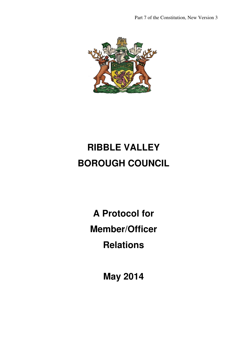Part 7 of the Constitution, New Version 3



# **RIBBLE VALLEY BOROUGH COUNCIL**

**A Protocol for Member/Officer Relations** 

**May 2014**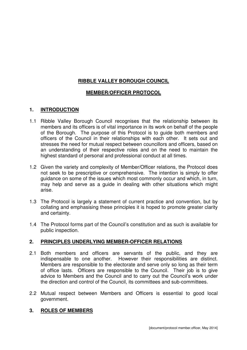## **RIBBLE VALLEY BOROUGH COUNCIL**

## **MEMBER/OFFICER PROTOCOL**

### **1. INTRODUCTION**

- 1.1 Ribble Valley Borough Council recognises that the relationship between its members and its officers is of vital importance in its work on behalf of the people of the Borough. The purpose of this Protocol is to guide both members and officers of the Council in their relationships with each other. It sets out and stresses the need for mutual respect between councillors and officers, based on an understanding of their respective roles and on the need to maintain the highest standard of personal and professional conduct at all times.
- 1.2 Given the variety and complexity of Member/Officer relations, the Protocol does not seek to be prescriptive or comprehensive. The intention is simply to offer guidance on some of the issues which most commonly occur and which, in turn, may help and serve as a guide in dealing with other situations which might arise.
- 1.3 The Protocol is largely a statement of current practice and convention, but by collating and emphasising these principles it is hoped to promote greater clarity and certainty.
- 1.4 The Protocol forms part of the Council's constitution and as such is available for public inspection.

### **2. PRINCIPLES UNDERLYING MEMBER-OFFICER RELATIONS**

- 2.1 Both members and officers are servants of the public, and they are indispensable to one another. However their responsibilities are distinct. Members are responsible to the electorate and serve only so long as their term of office lasts. Officers are responsible to the Council. Their job is to give advice to Members and the Council and to carry out the Council's work under the direction and control of the Council, its committees and sub-committees.
- 2.2 Mutual respect between Members and Officers is essential to good local government.

### **3. ROLES OF MEMBERS**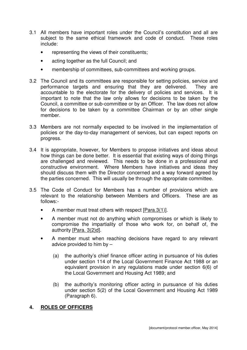- 3.1 All members have important roles under the Council's constitution and all are subject to the same ethical framework and code of conduct. These roles include:
	- representing the views of their constituents;
	- acting together as the full Council; and
	- membership of committees, sub-committees and working groups.
- 3.2 The Council and its committees are responsible for setting policies, service and performance targets and ensuring that they are delivered. They are accountable to the electorate for the delivery of policies and services. It is important to note that the law only allows for decisions to be taken by the Council, a committee or sub-committee or by an Officer. The law does not allow for decisions to be taken by a committee Chairman or by an other single member.
- 3.3 Members are not normally expected to be involved in the implementation of policies or the day-to-day management of services, but can expect reports on progress.
- 3.4 It is appropriate, however, for Members to propose initiatives and ideas about how things can be done better. It is essential that existing ways of doing things are challenged and reviewed. This needs to be done in a professional and constructive environment. Where Members have initiatives and ideas they should discuss them with the Director concerned and a way forward agreed by the parties concerned. This will usually be through the appropriate committee.
- 3.5 The Code of Conduct for Members has a number of provisions which are relevant to the relationship between Members and Officers. These are as follows:-
	- A member must treat others with respect [Para.3(1)].
	- A member must not do anything which compromises or which is likely to compromise the impartiality of those who work for, on behalf of, the authority [Para. 3(2)d].
	- A member must when reaching decisions have regard to any relevant advice provided to him by –
		- (a) the authority's chief finance officer acting in pursuance of his duties under section 114 of the Local Government Finance Act 1988 or an equivalent provision in any regulations made under section 6(6) of the Local Government and Housing Act 1989; and
		- (b) the authority's monitoring officer acting in pursuance of his duties under section 5(2) of the Local Government and Housing Act 1989 (Paragraph 6).

## **4. ROLES OF OFFICERS**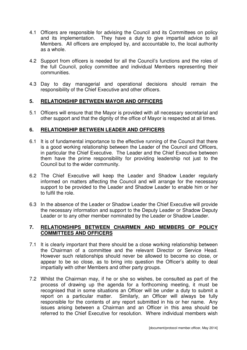- 4.1 Officers are responsible for advising the Council and its Committees on policy and its implementation. They have a duty to give impartial advice to all Members. All officers are employed by, and accountable to, the local authority as a whole.
- 4.2 Support from officers is needed for all the Council's functions and the roles of the full Council, policy committee and individual Members representing their communities.
- 4.3 Day to day managerial and operational decisions should remain the responsibility of the Chief Executive and other officers.

### **5. RELATIONSHIP BETWEEN MAYOR AND OFFICERS**

5.1 Officers will ensure that the Mayor is provided with all necessary secretarial and other support and that the dignity of the office of Mayor is respected at all times.

### **6. RELATIONSHIP BETWEEN LEADER AND OFFICERS**

- 6.1 It is of fundamental importance to the effective running of the Council that there is a good working relationship between the Leader of the Council and Officers, in particular the Chief Executive. The Leader and the Chief Executive between them have the prime responsibility for providing leadership not just to the Council but to the wider community.
- 6.2 The Chief Executive will keep the Leader and Shadow Leader regularly informed on matters affecting the Council and will arrange for the necessary support to be provided to the Leader and Shadow Leader to enable him or her to fulfil the role.
- 6.3 In the absence of the Leader or Shadow Leader the Chief Executive will provide the necessary information and support to the Deputy Leader or Shadow Deputy Leader or to any other member nominated by the Leader or Shadow Leader.

#### **7. RELATIONSHIPS BETWEEN CHAIRMEN AND MEMBERS OF POLICY COMMITTEES AND OFFICERS**

- 7.1 It is clearly important that there should be a close working relationship between the Chairman of a committee and the relevant Director or Service Head. However such relationships should never be allowed to become so close, or appear to be so close, as to bring into question the Officer's ability to deal impartially with other Members and other party groups.
- 7.2 Whilst the Chairman may, if he or she so wishes, be consulted as part of the process of drawing up the agenda for a forthcoming meeting, it must be recognised that in some situations an Officer will be under a duty to submit a report on a particular matter. Similarly, an Officer will always be fully responsible for the contents of any report submitted in his or her name. Any issues arising between a Chairman and an Officer in this area should be referred to the Chief Executive for resolution. Where individual members wish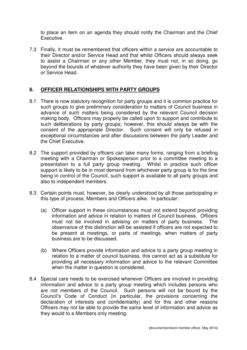to place an item on an agenda they should notify the Chairman and the Chief Executive.

7.3 Finally, it must be remembered that officers within a service are accountable to their Director and/or Service Head and that whilst Officers should always seek to assist a Chairman or any other Member, they must not, in so doing, go beyond the bounds of whatever authority they have been given by their Director or Service Head.

### **8. OFFICER RELATIONSHIPS WITH PARTY GROUPS**

- 8.1 There is now statutory recognition for party groups and it is common practice for such groups to give preliminary consideration to matters of Council business in advance of such matters being considered by the relevant Council decision making body. Officers may properly be called upon to support and contribute to such deliberations by party groups; however, this should always be with the consent of the appropriate Director. Such consent will only be refused in exceptional circumstances and after discussions between the party Leader and the Chief Executive.
- 8.2 The support provided by officers can take many forms, ranging from a briefing meeting with a Chairman or Spokesperson prior to a committee meeting to a presentation to a full party group meeting. Whilst in practice such officer support is likely to be in most demand from whichever party group is for the time being in control of the Council, such support is available to all party groups and also to independent members.
- 8.3 Certain points must, however, be clearly understood by all those participating in this type of process, Members and Officers alike. In particular:
	- (a) Officer support in these circumstances must not extend beyond providing information and advice in relation to matters of Council business. Officers must not be involved in advising on matters of party business. The observance of this distinction will be assisted if officers are not expected to be present at meetings, or parts of meetings, when matters of party business are to be discussed.
	- (b) Where Officers provide information and advice to a party group meeting in relation to a matter of council business, this cannot act as a substitute for providing all necessary information and advice to the relevant Committee when the matter in question is considered.
- 8.4 Special care needs to be exercised whenever Officers are involved in providing information and advice to a party group meeting which includes persons who are not members of the Council. Such persons will not be bound by the Council's Code of Conduct (in particular, the provisions concerning the declaration of interests and confidentiality) and for this and other reasons Officers may not be able to provide the same level of information and advice as they would to a Members only meeting.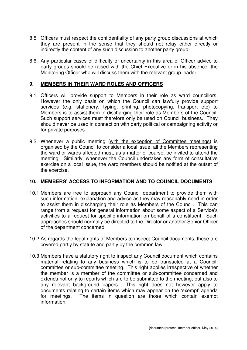- 8.5 Officers must respect the confidentiality of any party group discussions at which they are present in the sense that they should not relay either directly or indirectly the content of any such discussion to another party group.
- 8.6 Any particular cases of difficulty or uncertainty in this area of Officer advice to party groups should be raised with the Chief Executive or in his absence, the Monitoring Officer who will discuss them with the relevant group leader.

#### **9. MEMBERS IN THEIR WARD ROLES AND OFFICERS**

- 9.1 Officers will provide support to Members in their role as ward councillors. However the only basis on which the Council can lawfully provide support services (e.g. stationery, typing, printing, photocopying, transport etc) to Members is to assist them in discharging their role as Members of the Council. Such support services must therefore only be used on Council business. They should never be used in connection with party political or campaigning activity or for private purposes.
- 9.2 Whenever a public meeting (with the exception of Committee meetings) is organised by the Council to consider a local issue, all the Members representing the ward or wards affected must, as a matter of course, be invited to attend the meeting. Similarly, whenever the Council undertakes any form of consultative exercise on a local issue, the ward members should be notified at the outset of the exercise.

#### **10. MEMBERS' ACCESS TO INFORMATION AND TO COUNCIL DOCUMENTS**

- 10.1 Members are free to approach any Council department to provide them with such information, explanation and advice as they may reasonably need in order to assist them in discharging their role as Members of the Council. This can range from a request for general information about some aspect of a Service's activities to a request for specific information on behalf of a constituent. Such approaches should normally be directed to the Director or another Senior Officer of the department concerned.
- 10.2 As regards the legal rights of Members to inspect Council documents, these are covered partly by statute and partly by the common law.
- 10.3 Members have a statutory right to inspect any Council document which contains material relating to any business which is to be transacted at a Council, committee or sub-committee meeting. This right applies irrespective of whether the member is a member of the committee or sub-committee concerned and extends not only to reports which are to be submitted to the meeting, but also to any relevant background papers. This right does not however apply to documents relating to certain items which may appear on the 'exempt' agenda for meetings. The items in question are those which contain exempt information.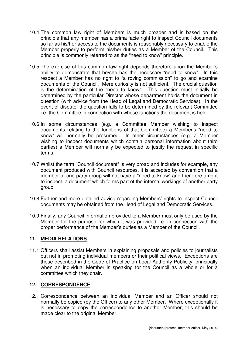- 10.4 The common law right of Members is much broader and is based on the principle that any member has a prima facie right to inspect Council documents so far as his/her access to the documents is reasonably necessary to enable the Member properly to perform his/her duties as a Member of the Council. This principle is commonly referred to as the "need to know" principle.
- 10.5 The exercise of this common law right depends therefore upon the Member's ability to demonstrate that he/she has the necessary "need to know". In this respect a Member has no right to "a roving commission" to go and examine documents of the Council. Mere curiosity is not sufficient. The crucial question is the determination of the "need to know". This question must initially be determined by the particular Director whose department holds the document in question (with advice from the Head of Legal and Democratic Services). In the event of dispute, the question falls to be determined by the relevant Committee i.e. the Committee in connection with whose functions the document is held.
- 10.6 In some circumstances (e.g. a Committee Member wishing to inspect documents relating to the functions of that Committee) a Member's "need to know" will normally be presumed. In other circumstances (e.g. a Member wishing to inspect documents which contain personal information about third parties) a Member will normally be expected to justify the request in specific terms.
- 10.7 Whilst the term "Council document" is very broad and includes for example, any document produced with Council resources, it is accepted by convention that a member of one party group will not have a "need to know" and therefore a right to inspect, a document which forms part of the internal workings of another party group.
- 10.8 Further and more detailed advice regarding Members' rights to inspect Council documents may be obtained from the Head of Legal and Democratic Services.
- 10.9 Finally, any Council information provided to a Member must only be used by the Member for the purpose for which it was provided i.e. in connection with the proper performance of the Member's duties as a Member of the Council.

### **11. MEDIA RELATIONS**

11.1 Officers shall assist Members in explaining proposals and policies to journalists but not in promoting individual members or their political views. Exceptions are those described in the Code of Practice on Local Authority Publicity, principally when an individual Member is speaking for the Council as a whole or for a committee which they chair.

### **12. CORRESPONDENCE**

12.1 Correspondence between an individual Member and an Officer should not normally be copied (by the Officer) to any other Member. Where exceptionally it is necessary to copy the correspondence to another Member, this should be made clear to the original Member.